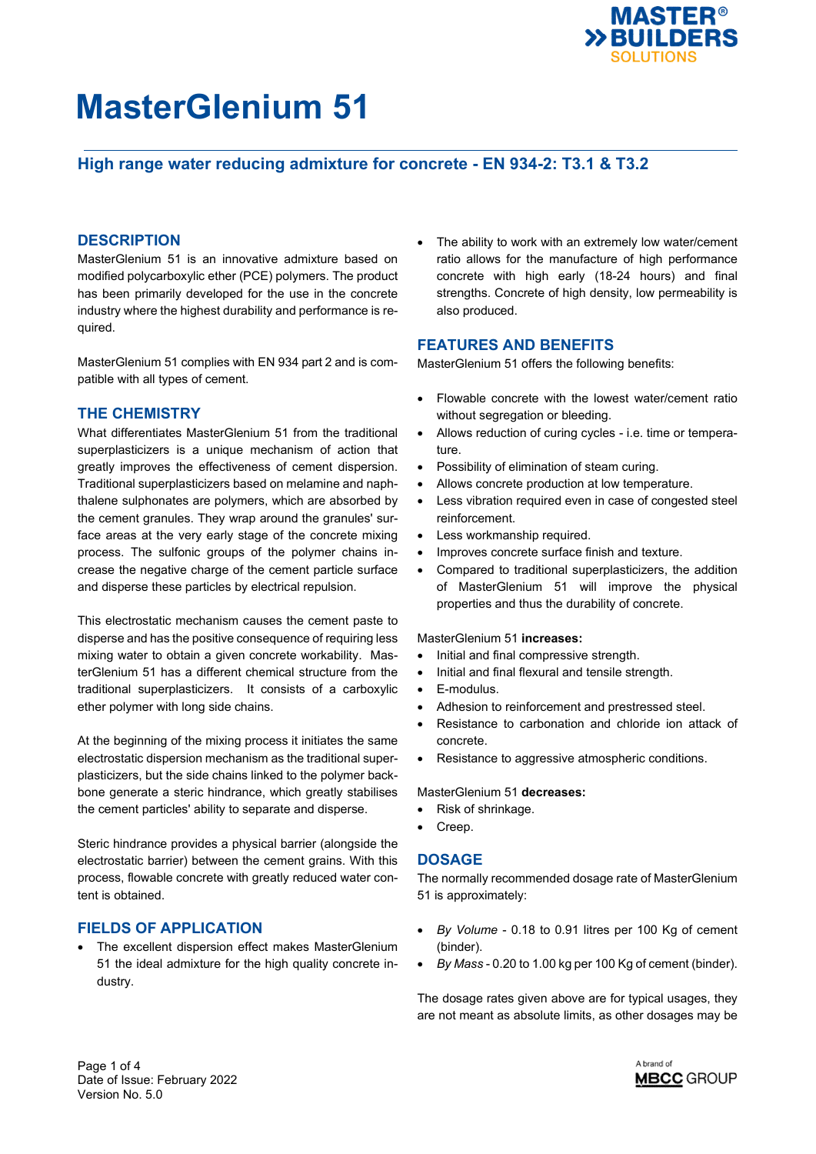

## **High range water reducing admixture for concrete - EN 934-2: T3.1 & T3.2**

### **DESCRIPTION**

MasterGlenium 51 is an innovative admixture based on modified polycarboxylic ether (PCE) polymers. The product has been primarily developed for the use in the concrete industry where the highest durability and performance is required.

MasterGlenium 51 complies with EN 934 part 2 and is compatible with all types of cement.

### **THE CHEMISTRY**

What differentiates MasterGlenium 51 from the traditional superplasticizers is a unique mechanism of action that greatly improves the effectiveness of cement dispersion. Traditional superplasticizers based on melamine and naphthalene sulphonates are polymers, which are absorbed by the cement granules. They wrap around the granules' surface areas at the very early stage of the concrete mixing process. The sulfonic groups of the polymer chains increase the negative charge of the cement particle surface and disperse these particles by electrical repulsion.

This electrostatic mechanism causes the cement paste to disperse and has the positive consequence of requiring less mixing water to obtain a given concrete workability. MasterGlenium 51 has a different chemical structure from the traditional superplasticizers. It consists of a carboxylic ether polymer with long side chains.

At the beginning of the mixing process it initiates the same electrostatic dispersion mechanism as the traditional superplasticizers, but the side chains linked to the polymer backbone generate a steric hindrance, which greatly stabilises the cement particles' ability to separate and disperse.

Steric hindrance provides a physical barrier (alongside the electrostatic barrier) between the cement grains. With this process, flowable concrete with greatly reduced water content is obtained.

### **FIELDS OF APPLICATION**

 The excellent dispersion effect makes MasterGlenium 51 the ideal admixture for the high quality concrete industry.

 The ability to work with an extremely low water/cement ratio allows for the manufacture of high performance concrete with high early (18-24 hours) and final strengths. Concrete of high density, low permeability is also produced.

#### **FEATURES AND BENEFITS**

MasterGlenium 51 offers the following benefits:

- Flowable concrete with the lowest water/cement ratio without segregation or bleeding.
- Allows reduction of curing cycles i.e. time or temperature.
- Possibility of elimination of steam curing.
- Allows concrete production at low temperature.
- Less vibration required even in case of congested steel reinforcement.
- Less workmanship required.
- Improves concrete surface finish and texture.
- Compared to traditional superplasticizers, the addition of MasterGlenium 51 will improve the physical properties and thus the durability of concrete.

#### MasterGlenium 51 **increases:**

- Initial and final compressive strength.
- Initial and final flexural and tensile strength.
- E-modulus.
- Adhesion to reinforcement and prestressed steel.
- Resistance to carbonation and chloride ion attack of concrete.
- Resistance to aggressive atmospheric conditions.

#### MasterGlenium 51 **decreases:**

- Risk of shrinkage.
- Creep.

#### **DOSAGE**

The normally recommended dosage rate of MasterGlenium 51 is approximately:

- *By Volume* 0.18 to 0.91 litres per 100 Kg of cement (binder).
- *By Mass* 0.20 to 1.00 kg per 100 Kg of cement (binder).

The dosage rates given above are for typical usages, they are not meant as absolute limits, as other dosages may be

Page 1 of 4 Date of Issue: February 2022 Version No. 5.0

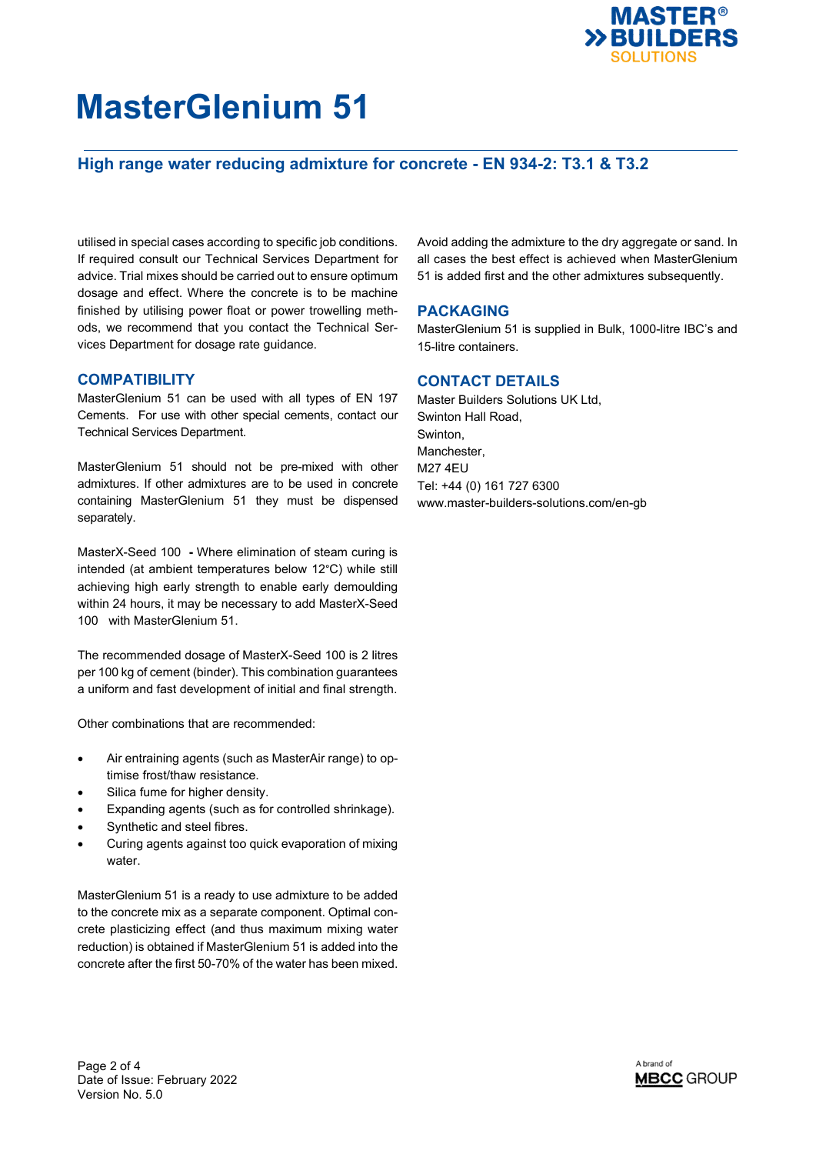

## **High range water reducing admixture for concrete - EN 934-2: T3.1 & T3.2**

utilised in special cases according to specific job conditions. If required consult our Technical Services Department for advice. Trial mixes should be carried out to ensure optimum dosage and effect. Where the concrete is to be machine finished by utilising power float or power trowelling methods, we recommend that you contact the Technical Services Department for dosage rate guidance.

#### **COMPATIBILITY**

MasterGlenium 51 can be used with all types of EN 197 Cements. For use with other special cements, contact our Technical Services Department.

MasterGlenium 51 should not be pre-mixed with other admixtures. If other admixtures are to be used in concrete containing MasterGlenium 51 they must be dispensed separately.

MasterX-Seed 100 **-** Where elimination of steam curing is intended (at ambient temperatures below 12°C) while still achieving high early strength to enable early demoulding within 24 hours, it may be necessary to add MasterX-Seed 100 with MasterGlenium 51.

The recommended dosage of MasterX-Seed 100 is 2 litres per 100 kg of cement (binder). This combination guarantees a uniform and fast development of initial and final strength.

Other combinations that are recommended:

- Air entraining agents (such as MasterAir range) to optimise frost/thaw resistance.
- Silica fume for higher density.
- Expanding agents (such as for controlled shrinkage).
- Synthetic and steel fibres.
- Curing agents against too quick evaporation of mixing water.

MasterGlenium 51 is a ready to use admixture to be added to the concrete mix as a separate component. Optimal concrete plasticizing effect (and thus maximum mixing water reduction) is obtained if MasterGlenium 51 is added into the concrete after the first 50-70% of the water has been mixed. Avoid adding the admixture to the dry aggregate or sand. In all cases the best effect is achieved when MasterGlenium 51 is added first and the other admixtures subsequently.

#### **PACKAGING**

MasterGlenium 51 is supplied in Bulk, 1000-litre IBC's and 15-litre containers.

#### **CONTACT DETAILS**

Master Builders Solutions UK Ltd, Swinton Hall Road, Swinton, Manchester, M27 4EU Tel: +44 (0) 161 727 6300 www.master-builders-solutions.com/en-gb



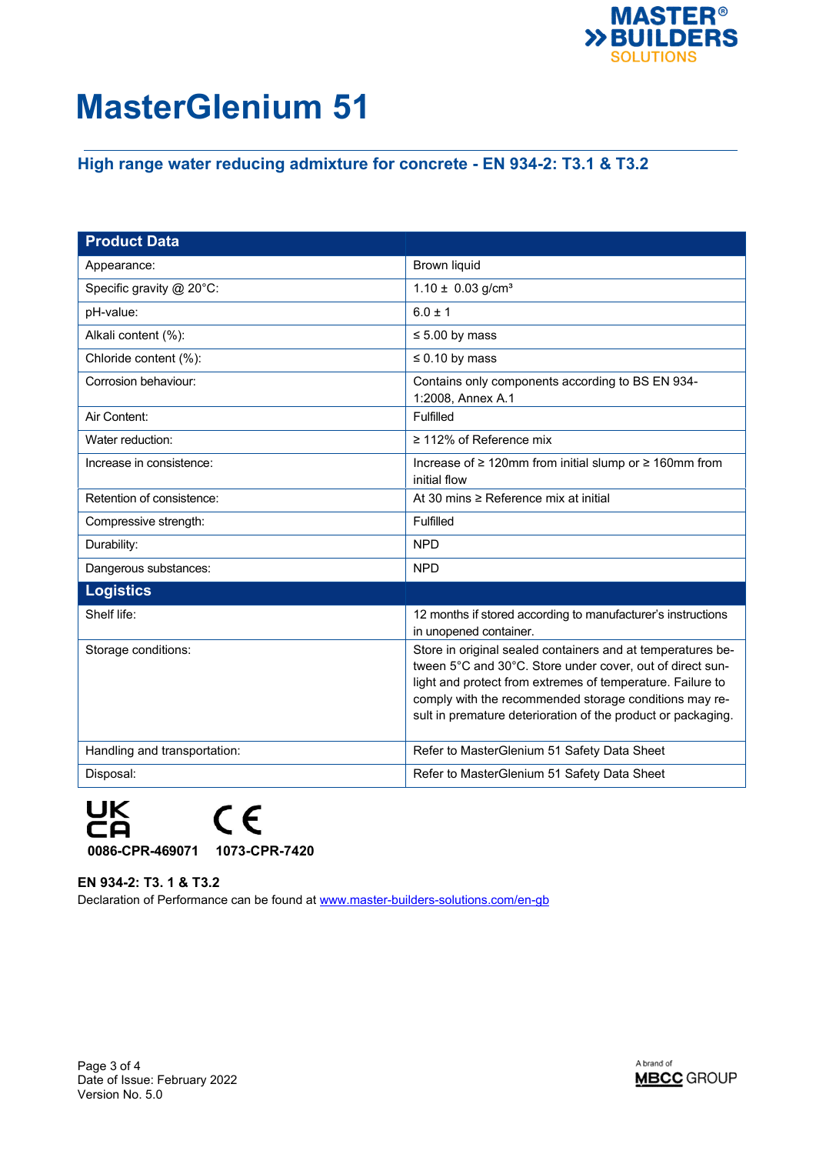

## **High range water reducing admixture for concrete - EN 934-2: T3.1 & T3.2**

| <b>Product Data</b>          |                                                                                                                                                                                                                                                                                                                  |
|------------------------------|------------------------------------------------------------------------------------------------------------------------------------------------------------------------------------------------------------------------------------------------------------------------------------------------------------------|
| Appearance:                  | <b>Brown liquid</b>                                                                                                                                                                                                                                                                                              |
| Specific gravity @ 20°C:     | $1.10 \pm 0.03$ g/cm <sup>3</sup>                                                                                                                                                                                                                                                                                |
| pH-value:                    | $6.0 \pm 1$                                                                                                                                                                                                                                                                                                      |
| Alkali content (%):          | $\leq 5.00$ by mass                                                                                                                                                                                                                                                                                              |
| Chloride content (%):        | $\leq 0.10$ by mass                                                                                                                                                                                                                                                                                              |
| Corrosion behaviour:         | Contains only components according to BS EN 934-<br>1:2008, Annex A.1                                                                                                                                                                                                                                            |
| Air Content:                 | Fulfilled                                                                                                                                                                                                                                                                                                        |
| Water reduction:             | $\geq$ 112% of Reference mix                                                                                                                                                                                                                                                                                     |
| Increase in consistence:     | Increase of $\geq 120$ mm from initial slump or $\geq 160$ mm from<br>initial flow                                                                                                                                                                                                                               |
| Retention of consistence:    | At 30 mins ≥ Reference mix at initial                                                                                                                                                                                                                                                                            |
| Compressive strength:        | Fulfilled                                                                                                                                                                                                                                                                                                        |
| Durability:                  | <b>NPD</b>                                                                                                                                                                                                                                                                                                       |
| Dangerous substances:        | <b>NPD</b>                                                                                                                                                                                                                                                                                                       |
| <b>Logistics</b>             |                                                                                                                                                                                                                                                                                                                  |
| Shelf life:                  | 12 months if stored according to manufacturer's instructions<br>in unopened container.                                                                                                                                                                                                                           |
| Storage conditions:          | Store in original sealed containers and at temperatures be-<br>tween 5°C and 30°C. Store under cover, out of direct sun-<br>light and protect from extremes of temperature. Failure to<br>comply with the recommended storage conditions may re-<br>sult in premature deterioration of the product or packaging. |
| Handling and transportation: | Refer to MasterGlenium 51 Safety Data Sheet                                                                                                                                                                                                                                                                      |
| Disposal:                    | Refer to MasterGlenium 51 Safety Data Sheet                                                                                                                                                                                                                                                                      |

![](_page_2_Picture_4.jpeg)

#### **EN 934-2: T3. 1 & T3.2**

Declaration of Performance can be found at [www.master-builders-solutions.com/en-gb](http://www.master-builders-solutions.com/en-gb)

![](_page_2_Picture_8.jpeg)